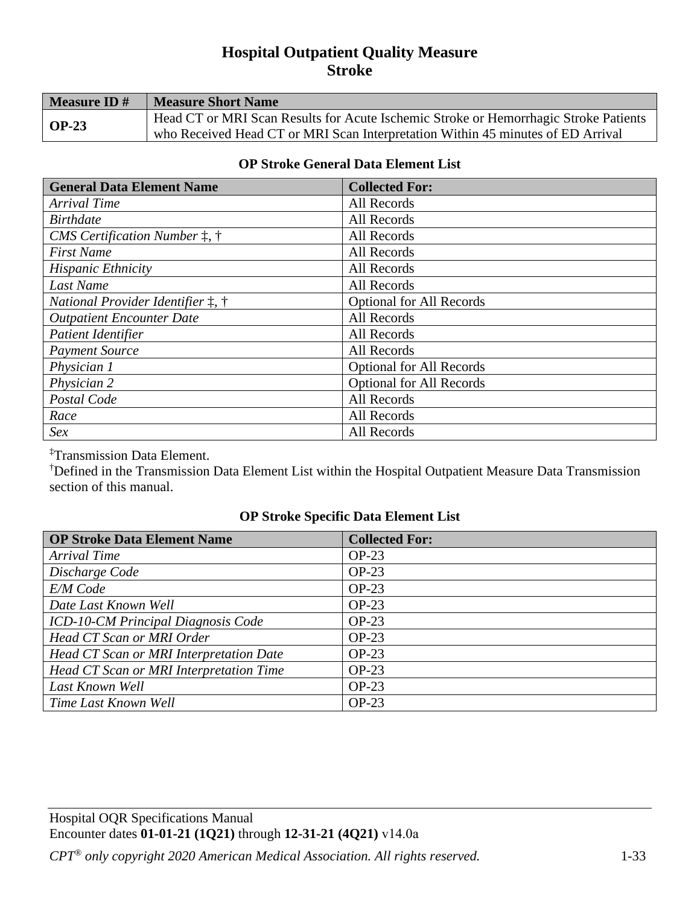# **Hospital Outpatient Quality Measure Stroke**

| Measure ID#         | <b>Measure Short Name</b>                                                            |
|---------------------|--------------------------------------------------------------------------------------|
| $\overline{OP}$ -23 | Head CT or MRI Scan Results for Acute Ischemic Stroke or Hemorrhagic Stroke Patients |
|                     | who Received Head CT or MRI Scan Interpretation Within 45 minutes of ED Arrival      |

#### **OP Stroke General Data Element List**

| <b>General Data Element Name</b>                | <b>Collected For:</b>           |
|-------------------------------------------------|---------------------------------|
| Arrival Time                                    | All Records                     |
| <b>Birthdate</b>                                | All Records                     |
| CMS Certification Number $\ddagger$ , $\dagger$ | All Records                     |
| <b>First Name</b>                               | All Records                     |
| <b>Hispanic Ethnicity</b>                       | All Records                     |
| Last Name                                       | All Records                     |
| <i>National Provider Identifier 1, †</i>        | <b>Optional for All Records</b> |
| <b>Outpatient Encounter Date</b>                | All Records                     |
| Patient Identifier                              | All Records                     |
| <b>Payment Source</b>                           | All Records                     |
| Physician 1                                     | <b>Optional for All Records</b> |
| Physician 2                                     | <b>Optional for All Records</b> |
| Postal Code                                     | All Records                     |
| Race                                            | All Records                     |
| Sex                                             | All Records                     |

<sup>‡</sup>Transmission Data Element.<br><sup>†</sup>Defined in the Transmission.

Defined in the Transmission Data Element List within the Hospital Outpatient Measure Data Transmission section of this manual.

## **OP Stroke Specific Data Element List**

| <b>OP Stroke Data Element Name</b>      | <b>Collected For:</b> |
|-----------------------------------------|-----------------------|
| Arrival Time                            | $OP-23$               |
| Discharge Code                          | $OP-23$               |
| E/M Code                                | $OP-23$               |
| Date Last Known Well                    | $OP-23$               |
| ICD-10-CM Principal Diagnosis Code      | $OP-23$               |
| Head CT Scan or MRI Order               | $OP-23$               |
| Head CT Scan or MRI Interpretation Date | $OP-23$               |
| Head CT Scan or MRI Interpretation Time | $OP-23$               |
| Last Known Well                         | $OP-23$               |
| Time Last Known Well                    | $OP-23$               |

Hospital OQR Specifications Manual Encounter dates **01-01-21 (1Q21)** through **12-31-21 (4Q21)** v14.0a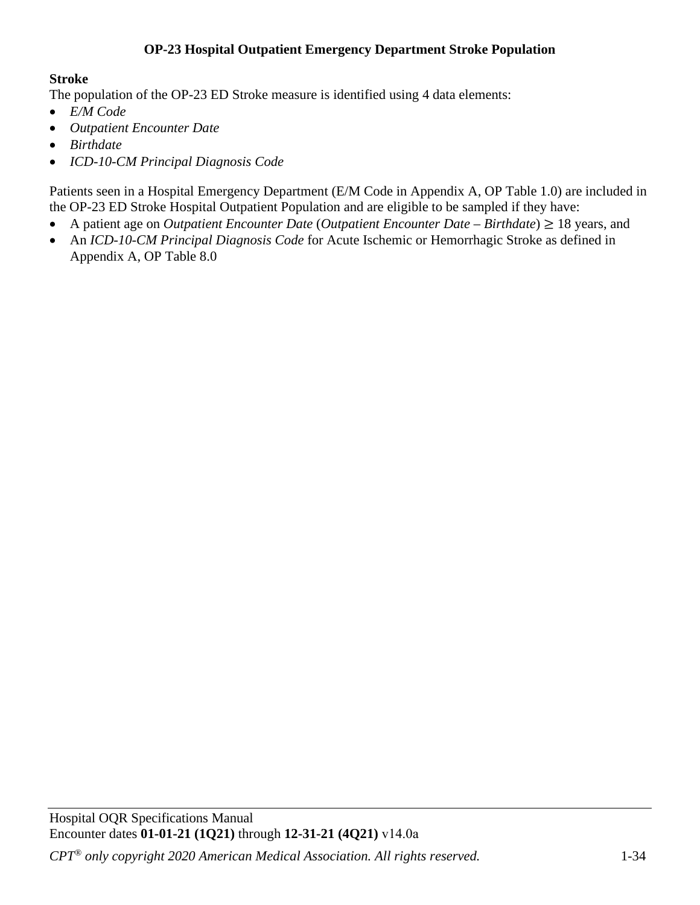## **OP-23 Hospital Outpatient Emergency Department Stroke Population**

## **Stroke**

The population of the OP-23 ED Stroke measure is identified using 4 data elements:

- *E/M Code*
- *Outpatient Encounter Date*
- *Birthdate*
- *ICD-10-CM Principal Diagnosis Code*

Patients seen in a Hospital Emergency Department (E/M Code in Appendix A, OP Table 1.0) are included in the OP-23 ED Stroke Hospital Outpatient Population and are eligible to be sampled if they have:

- A patient age on *Outpatient Encounter Date* (*Outpatient Encounter Date Birthdate*) ≥ 18 years, and
- An *ICD-10-CM Principal Diagnosis Code* for Acute Ischemic or Hemorrhagic Stroke as defined in Appendix A, OP Table 8.0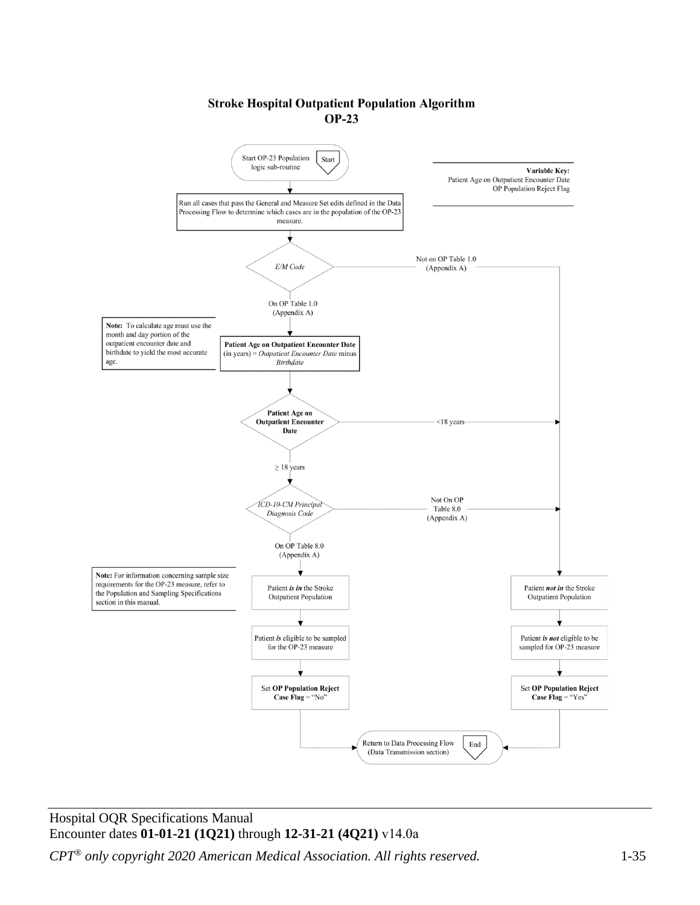#### **Stroke Hospital Outpatient Population Algorithm**  $OP-23$



#### Hospital OQR Specifications Manual Encounter dates **01-01-21 (1Q21)** through **12-31-21 (4Q21)** v14.0a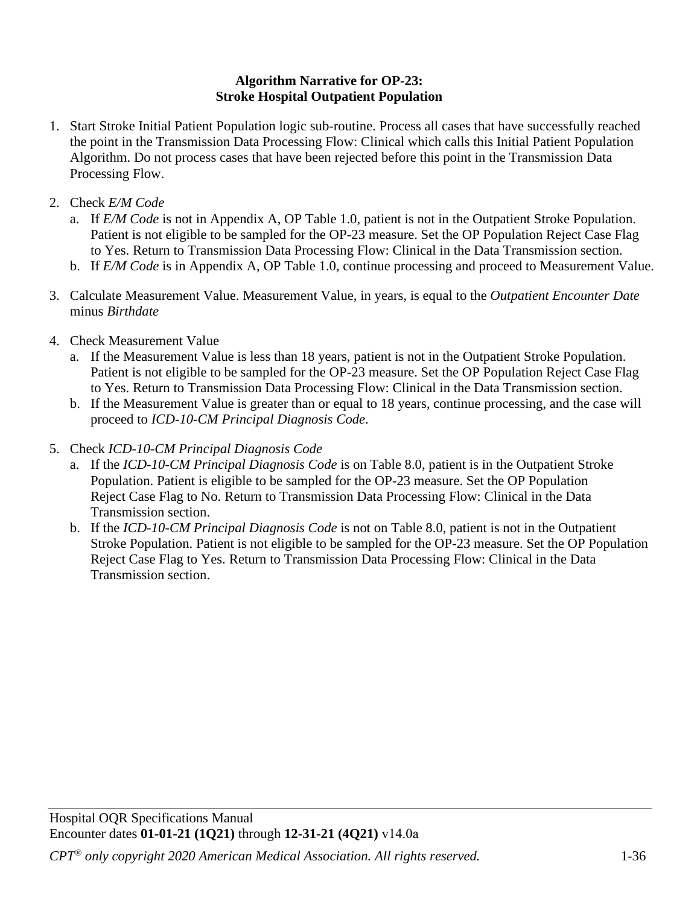#### **Algorithm Narrative for OP-23: Stroke Hospital Outpatient Population**

- 1. Start Stroke Initial Patient Population logic sub-routine. Process all cases that have successfully reached the point in the Transmission Data Processing Flow: Clinical which calls this Initial Patient Population Algorithm. Do not process cases that have been rejected before this point in the Transmission Data Processing Flow.
- 2. Check *E/M Code*
	- a. If *E/M Code* is not in Appendix A, OP Table 1.0, patient is not in the Outpatient Stroke Population. Patient is not eligible to be sampled for the OP-23 measure. Set the OP Population Reject Case Flag to Yes. Return to Transmission Data Processing Flow: Clinical in the Data Transmission section.
	- b. If *E/M Code* is in Appendix A, OP Table 1.0, continue processing and proceed to Measurement Value.
- 3. Calculate Measurement Value. Measurement Value, in years, is equal to the *Outpatient Encounter Date* minus *Birthdate*
- 4. Check Measurement Value
	- a. If the Measurement Value is less than 18 years, patient is not in the Outpatient Stroke Population. Patient is not eligible to be sampled for the OP-23 measure. Set the OP Population Reject Case Flag to Yes. Return to Transmission Data Processing Flow: Clinical in the Data Transmission section.
	- b. If the Measurement Value is greater than or equal to 18 years, continue processing, and the case will proceed to *ICD-10-CM Principal Diagnosis Code*.
- 5. Check *ICD-10-CM Principal Diagnosis Code*
	- a. If the *ICD-10-CM Principal Diagnosis Code* is on Table 8.0, patient is in the Outpatient Stroke Population. Patient is eligible to be sampled for the OP-23 measure. Set the OP Population Reject Case Flag to No. Return to Transmission Data Processing Flow: Clinical in the Data Transmission section.
	- b. If the *ICD-10-CM Principal Diagnosis Code* is not on Table 8.0, patient is not in the Outpatient Stroke Population. Patient is not eligible to be sampled for the OP-23 measure. Set the OP Population Reject Case Flag to Yes. Return to Transmission Data Processing Flow: Clinical in the Data Transmission section.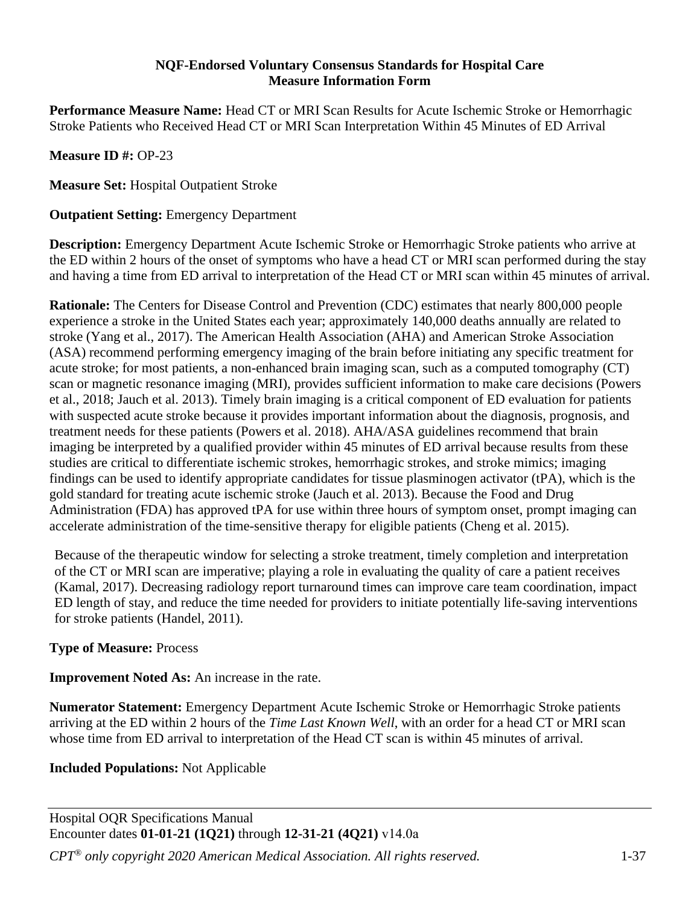#### **NQF-Endorsed Voluntary Consensus Standards for Hospital Care Measure Information Form**

**Performance Measure Name:** Head CT or MRI Scan Results for Acute Ischemic Stroke or Hemorrhagic Stroke Patients who Received Head CT or MRI Scan Interpretation Within 45 Minutes of ED Arrival

**Measure ID #:** OP-23

**Measure Set:** Hospital Outpatient Stroke

### **Outpatient Setting:** Emergency Department

**Description:** Emergency Department Acute Ischemic Stroke or Hemorrhagic Stroke patients who arrive at the ED within 2 hours of the onset of symptoms who have a head CT or MRI scan performed during the stay and having a time from ED arrival to interpretation of the Head CT or MRI scan within 45 minutes of arrival.

**Rationale:** The Centers for Disease Control and Prevention (CDC) estimates that nearly 800,000 people experience a stroke in the United States each year; approximately 140,000 deaths annually are related to stroke (Yang et al., 2017). The American Health Association (AHA) and American Stroke Association (ASA) recommend performing emergency imaging of the brain before initiating any specific treatment for acute stroke; for most patients, a non-enhanced brain imaging scan, such as a computed tomography (CT) scan or magnetic resonance imaging (MRI), provides sufficient information to make care decisions (Powers et al., 2018; Jauch et al. 2013). Timely brain imaging is a critical component of ED evaluation for patients with suspected acute stroke because it provides important information about the diagnosis, prognosis, and treatment needs for these patients (Powers et al. 2018). AHA/ASA guidelines recommend that brain imaging be interpreted by a qualified provider within 45 minutes of ED arrival because results from these studies are critical to differentiate ischemic strokes, hemorrhagic strokes, and stroke mimics; imaging findings can be used to identify appropriate candidates for tissue plasminogen activator (tPA), which is the gold standard for treating acute ischemic stroke (Jauch et al. 2013). Because the Food and Drug Administration (FDA) has approved tPA for use within three hours of symptom onset, prompt imaging can accelerate administration of the time-sensitive therapy for eligible patients (Cheng et al. 2015).

Because of the therapeutic window for selecting a stroke treatment, timely completion and interpretation of the CT or MRI scan are imperative; playing a role in evaluating the quality of care a patient receives (Kamal, 2017). Decreasing radiology report turnaround times can improve care team coordination, impact ED length of stay, and reduce the time needed for providers to initiate potentially life-saving interventions for stroke patients (Handel, 2011).

## **Type of Measure:** Process

**Improvement Noted As:** An increase in the rate.

**Numerator Statement:** Emergency Department Acute Ischemic Stroke or Hemorrhagic Stroke patients arriving at the ED within 2 hours of the *Time Last Known Well*, with an order for a head CT or MRI scan whose time from ED arrival to interpretation of the Head CT scan is within 45 minutes of arrival.

**Included Populations:** Not Applicable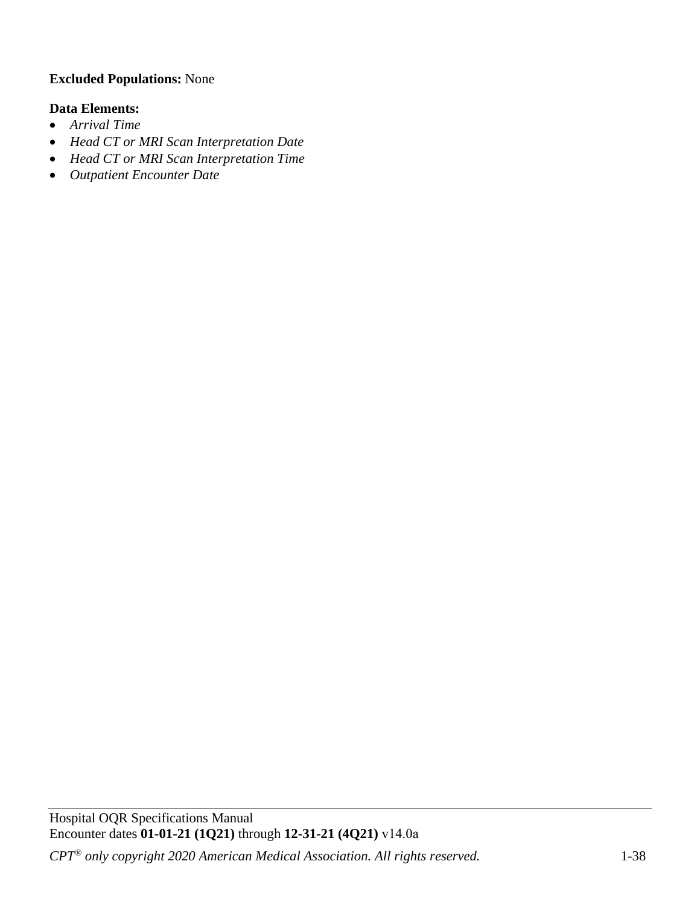# **Excluded Populations:** None

## **Data Elements:**

- *Arrival Time*
- *Head CT or MRI Scan Interpretation Date*
- *Head CT or MRI Scan Interpretation Time*
- *Outpatient Encounter Date*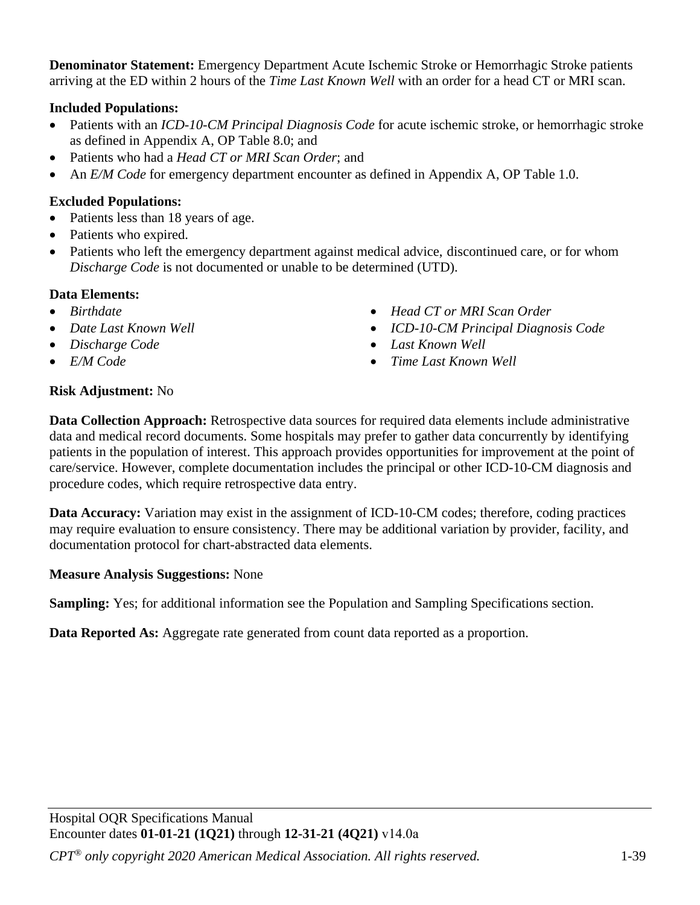**Denominator Statement:** Emergency Department Acute Ischemic Stroke or Hemorrhagic Stroke patients arriving at the ED within 2 hours of the *Time Last Known Well* with an order for a head CT or MRI scan.

# **Included Populations:**

- Patients with an *ICD-10-CM Principal Diagnosis Code* for acute ischemic stroke, or hemorrhagic stroke as defined in Appendix A, OP Table 8.0; and
- Patients who had a *Head CT or MRI Scan Order*; and
- An *E/M Code* for emergency department encounter as defined in Appendix A, OP Table 1.0.

# **Excluded Populations:**

- Patients less than 18 years of age.
- Patients who expired.
- Patients who left the emergency department against medical advice, discontinued care, or for whom *Discharge Code* is not documented or unable to be determined (UTD).

# **Data Elements:**

- *Birthdate*
- *Date Last Known Well*
- *Discharge Code*
- *E/M Code*
- *Head CT or MRI Scan Order*
- *ICD-10-CM Principal Diagnosis Code*
- *Last Known Well*
- *Time Last Known Well*

# **Risk Adjustment:** No

**Data Collection Approach:** Retrospective data sources for required data elements include administrative data and medical record documents. Some hospitals may prefer to gather data concurrently by identifying patients in the population of interest. This approach provides opportunities for improvement at the point of care/service. However, complete documentation includes the principal or other ICD-10-CM diagnosis and procedure codes, which require retrospective data entry.

**Data Accuracy:** Variation may exist in the assignment of ICD-10-CM codes; therefore, coding practices may require evaluation to ensure consistency. There may be additional variation by provider, facility, and documentation protocol for chart-abstracted data elements.

## **Measure Analysis Suggestions:** None

**Sampling:** Yes; for additional information see the Population and Sampling Specifications section.

**Data Reported As:** Aggregate rate generated from count data reported as a proportion.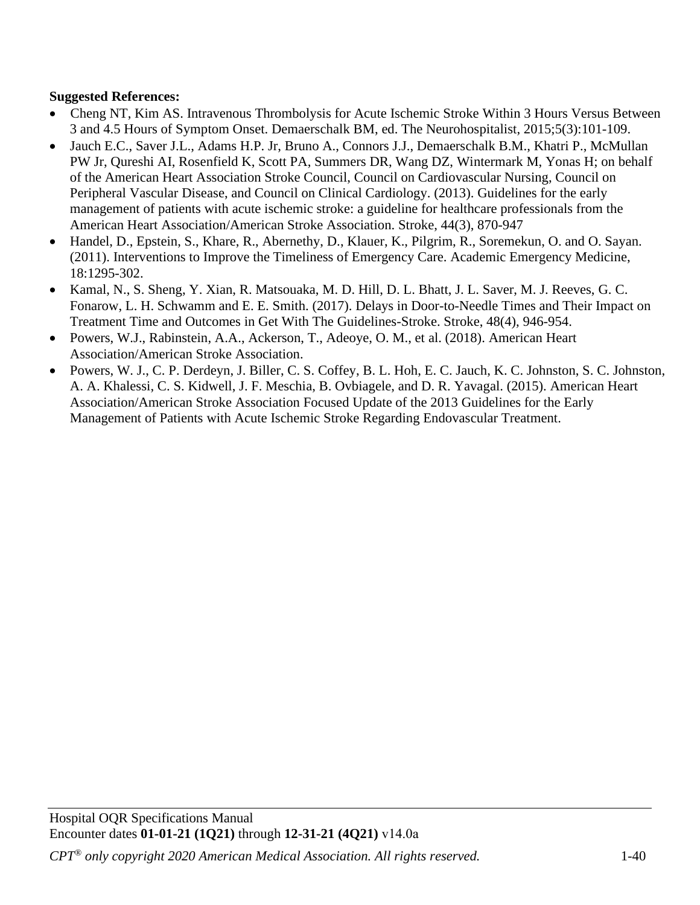# **Suggested References:**

- Cheng NT, Kim AS. Intravenous Thrombolysis for Acute Ischemic Stroke Within 3 Hours Versus Between 3 and 4.5 Hours of Symptom Onset. Demaerschalk BM, ed. The Neurohospitalist, 2015;5(3):101-109.
- Jauch E.C., Saver J.L., Adams H.P. Jr, Bruno A., Connors J.J., Demaerschalk B.M., Khatri P., McMullan PW Jr, Qureshi AI, Rosenfield K, Scott PA, Summers DR, Wang DZ, Wintermark M, Yonas H; on behalf of the American Heart Association Stroke Council, Council on Cardiovascular Nursing, Council on Peripheral Vascular Disease, and Council on Clinical Cardiology. (2013). Guidelines for the early management of patients with acute ischemic stroke: a guideline for healthcare professionals from the American Heart Association/American Stroke Association. Stroke, 44(3), 870-947
- Handel, D., Epstein, S., Khare, R., Abernethy, D., Klauer, K., Pilgrim, R., Soremekun, O. and O. Sayan. (2011). Interventions to Improve the Timeliness of Emergency Care. Academic Emergency Medicine, 18:1295-302.
- Kamal, N., S. Sheng, Y. Xian, R. Matsouaka, M. D. Hill, D. L. Bhatt, J. L. Saver, M. J. Reeves, G. C. Fonarow, L. H. Schwamm and E. E. Smith. (2017). Delays in Door-to-Needle Times and Their Impact on Treatment Time and Outcomes in Get With The Guidelines-Stroke. Stroke, 48(4), 946-954.
- Powers, W.J., Rabinstein, A.A., Ackerson, T., Adeoye, O. M., et al. (2018). American Heart Association/American Stroke Association.
- Powers, W. J., C. P. Derdeyn, J. Biller, C. S. Coffey, B. L. Hoh, E. C. Jauch, K. C. Johnston, S. C. Johnston, A. A. Khalessi, C. S. Kidwell, J. F. Meschia, B. Ovbiagele, and D. R. Yavagal. (2015). American Heart Association/American Stroke Association Focused Update of the 2013 Guidelines for the Early Management of Patients with Acute Ischemic Stroke Regarding Endovascular Treatment.]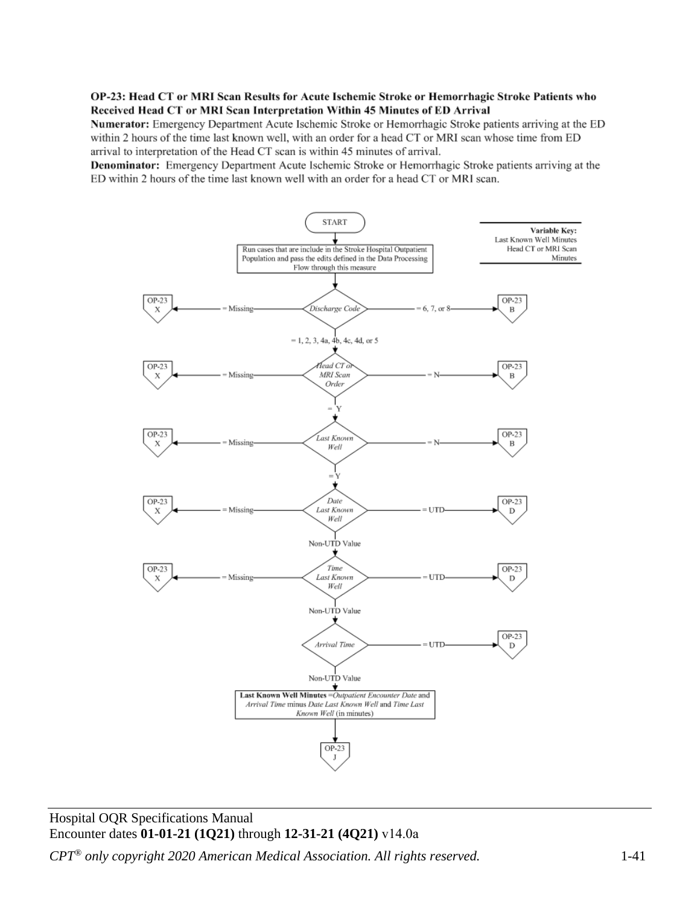#### OP-23: Head CT or MRI Scan Results for Acute Ischemic Stroke or Hemorrhagic Stroke Patients who Received Head CT or MRI Scan Interpretation Within 45 Minutes of ED Arrival

Numerator: Emergency Department Acute Ischemic Stroke or Hemorrhagic Stroke patients arriving at the ED within 2 hours of the time last known well, with an order for a head CT or MRI scan whose time from ED arrival to interpretation of the Head CT scan is within 45 minutes of arrival.

**Denominator:** Emergency Department Acute Ischemic Stroke or Hemorrhagic Stroke patients arriving at the ED within 2 hours of the time last known well with an order for a head CT or MRI scan.



Hospital OQR Specifications Manual Encounter dates **01-01-21 (1Q21)** through **12-31-21 (4Q21)** v14.0a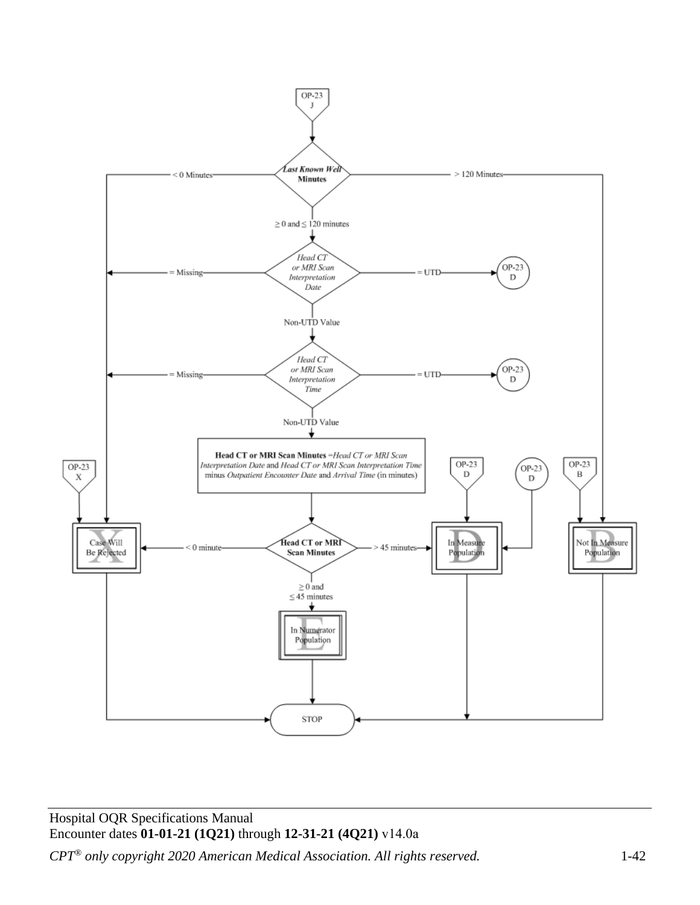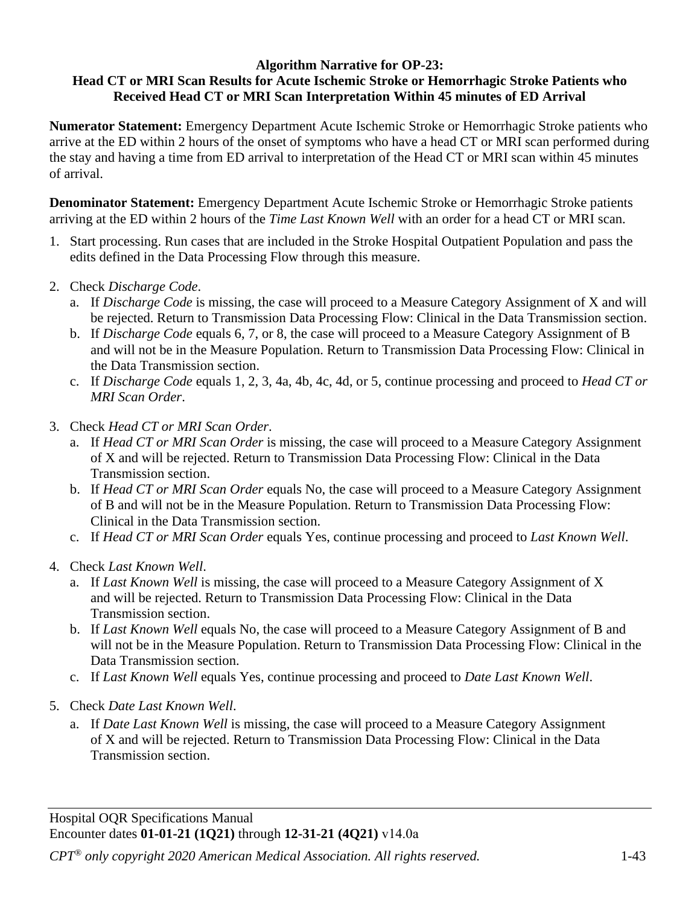#### **Algorithm Narrative for OP-23: Head CT or MRI Scan Results for Acute Ischemic Stroke or Hemorrhagic Stroke Patients who Received Head CT or MRI Scan Interpretation Within 45 minutes of ED Arrival**

**Numerator Statement:** Emergency Department Acute Ischemic Stroke or Hemorrhagic Stroke patients who arrive at the ED within 2 hours of the onset of symptoms who have a head CT or MRI scan performed during the stay and having a time from ED arrival to interpretation of the Head CT or MRI scan within 45 minutes of arrival.

**Denominator Statement:** Emergency Department Acute Ischemic Stroke or Hemorrhagic Stroke patients arriving at the ED within 2 hours of the *Time Last Known Well* with an order for a head CT or MRI scan.

- 1. Start processing. Run cases that are included in the Stroke Hospital Outpatient Population and pass the edits defined in the Data Processing Flow through this measure.
- 2. Check *Discharge Code*.
	- a. If *Discharge Code* is missing, the case will proceed to a Measure Category Assignment of X and will be rejected. Return to Transmission Data Processing Flow: Clinical in the Data Transmission section.
	- b. If *Discharge Code* equals 6, 7, or 8, the case will proceed to a Measure Category Assignment of B and will not be in the Measure Population. Return to Transmission Data Processing Flow: Clinical in the Data Transmission section.
	- c. If *Discharge Code* equals 1, 2, 3, 4a, 4b, 4c, 4d, or 5, continue processing and proceed to *Head CT or MRI Scan Order*.
- 3. Check *Head CT or MRI Scan Order*.
	- a. If *Head CT or MRI Scan Order* is missing, the case will proceed to a Measure Category Assignment of X and will be rejected. Return to Transmission Data Processing Flow: Clinical in the Data Transmission section.
	- b. If *Head CT or MRI Scan Order* equals No, the case will proceed to a Measure Category Assignment of B and will not be in the Measure Population. Return to Transmission Data Processing Flow: Clinical in the Data Transmission section.
	- c. If *Head CT or MRI Scan Order* equals Yes, continue processing and proceed to *Last Known Well*.
- 4. Check *Last Known Well*.
	- a. If *Last Known Well* is missing, the case will proceed to a Measure Category Assignment of X and will be rejected. Return to Transmission Data Processing Flow: Clinical in the Data Transmission section.
	- b. If *Last Known Well* equals No, the case will proceed to a Measure Category Assignment of B and will not be in the Measure Population. Return to Transmission Data Processing Flow: Clinical in the Data Transmission section.
	- c. If *Last Known Well* equals Yes, continue processing and proceed to *Date Last Known Well*.
- 5. Check *Date Last Known Well*.
	- a. If *Date Last Known Well* is missing, the case will proceed to a Measure Category Assignment of X and will be rejected. Return to Transmission Data Processing Flow: Clinical in the Data Transmission section.

Hospital OQR Specifications Manual Encounter dates **01-01-21 (1Q21)** through **12-31-21 (4Q21)** v14.0a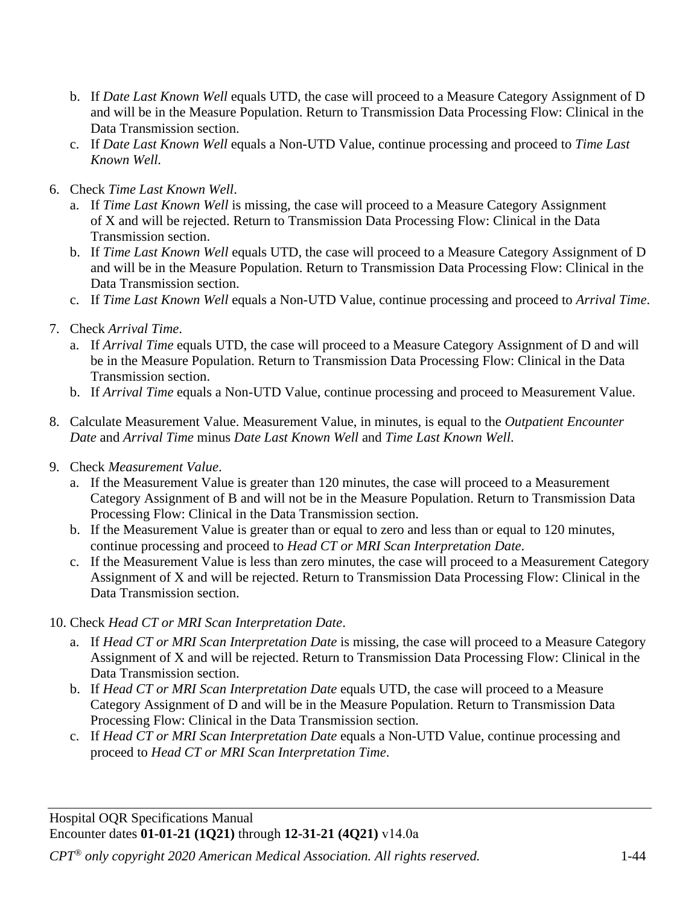- b. If *Date Last Known Well* equals UTD, the case will proceed to a Measure Category Assignment of D and will be in the Measure Population. Return to Transmission Data Processing Flow: Clinical in the Data Transmission section.
- c. If *Date Last Known Well* equals a Non-UTD Value, continue processing and proceed to *Time Last Known Well.*
- 6. Check *Time Last Known Well*.
	- a. If *Time Last Known Well* is missing, the case will proceed to a Measure Category Assignment of X and will be rejected. Return to Transmission Data Processing Flow: Clinical in the Data Transmission section.
	- b. If *Time Last Known Well* equals UTD, the case will proceed to a Measure Category Assignment of D and will be in the Measure Population. Return to Transmission Data Processing Flow: Clinical in the Data Transmission section.
	- c. If *Time Last Known Well* equals a Non-UTD Value, continue processing and proceed to *Arrival Time*.
- 7. Check *Arrival Time*.
	- a. If *Arrival Time* equals UTD, the case will proceed to a Measure Category Assignment of D and will be in the Measure Population. Return to Transmission Data Processing Flow: Clinical in the Data Transmission section.
	- b. If *Arrival Time* equals a Non-UTD Value, continue processing and proceed to Measurement Value.
- 8. Calculate Measurement Value. Measurement Value, in minutes, is equal to the *Outpatient Encounter Date* and *Arrival Time* minus *Date Last Known Well* and *Time Last Known Well*.
- 9. Check *Measurement Value*.
	- a. If the Measurement Value is greater than 120 minutes, the case will proceed to a Measurement Category Assignment of B and will not be in the Measure Population. Return to Transmission Data Processing Flow: Clinical in the Data Transmission section.
	- b. If the Measurement Value is greater than or equal to zero and less than or equal to 120 minutes, continue processing and proceed to *Head CT or MRI Scan Interpretation Date*.
	- c. If the Measurement Value is less than zero minutes, the case will proceed to a Measurement Category Assignment of X and will be rejected. Return to Transmission Data Processing Flow: Clinical in the Data Transmission section.
- 10. Check *Head CT or MRI Scan Interpretation Date*.
	- a. If *Head CT or MRI Scan Interpretation Date* is missing, the case will proceed to a Measure Category Assignment of X and will be rejected. Return to Transmission Data Processing Flow: Clinical in the Data Transmission section.
	- b. If *Head CT or MRI Scan Interpretation Date* equals UTD, the case will proceed to a Measure Category Assignment of D and will be in the Measure Population. Return to Transmission Data Processing Flow: Clinical in the Data Transmission section.
	- c. If *Head CT or MRI Scan Interpretation Date* equals a Non-UTD Value, continue processing and proceed to *Head CT or MRI Scan Interpretation Time*.

Hospital OQR Specifications Manual Encounter dates **01-01-21 (1Q21)** through **12-31-21 (4Q21)** v14.0a